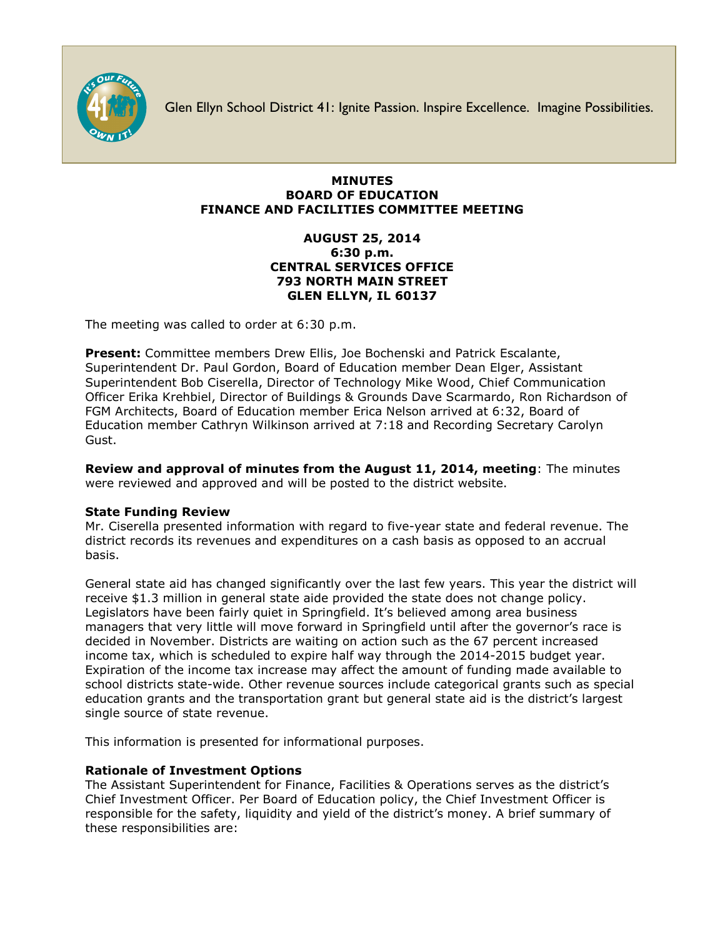

Glen Ellyn School District 41: Ignite Passion. Inspire Excellence. Imagine Possibilities.

## **MINUTES BOARD OF EDUCATION FINANCE AND FACILITIES COMMITTEE MEETING**

# **AUGUST 25, 2014 6:30 p.m. CENTRAL SERVICES OFFICE 793 NORTH MAIN STREET GLEN ELLYN, IL 60137**

The meeting was called to order at 6:30 p.m.

**Present:** Committee members Drew Ellis, Joe Bochenski and Patrick Escalante, Superintendent Dr. Paul Gordon, Board of Education member Dean Elger, Assistant Superintendent Bob Ciserella, Director of Technology Mike Wood, Chief Communication Officer [Erika Krehbiel,](http://www.d41.org/contact_email.asp?id=ekrehbiel&n=Erika_Krehbiel) Director of Buildings & Grounds Dave Scarmardo, Ron Richardson of FGM Architects, Board of Education member Erica Nelson arrived at 6:32, Board of Education member Cathryn Wilkinson arrived at 7:18 and Recording Secretary Carolyn Gust.

**Review and approval of minutes from the August 11, 2014, meeting**: The minutes were reviewed and approved and will be posted to the district website.

## **State Funding Review**

Mr. Ciserella presented information with regard to five-year state and federal revenue. The district records its revenues and expenditures on a cash basis as opposed to an accrual basis.

General state aid has changed significantly over the last few years. This year the district will receive \$1.3 million in general state aide provided the state does not change policy. Legislators have been fairly quiet in Springfield. It's believed among area business managers that very little will move forward in Springfield until after the governor's race is decided in November. Districts are waiting on action such as the 67 percent increased income tax, which is scheduled to expire half way through the 2014-2015 budget year. Expiration of the income tax increase may affect the amount of funding made available to school districts state-wide. Other revenue sources include categorical grants such as special education grants and the transportation grant but general state aid is the district's largest single source of state revenue.

This information is presented for informational purposes.

# **Rationale of Investment Options**

The Assistant Superintendent for Finance, Facilities & Operations serves as the district's Chief Investment Officer. Per Board of Education policy, the Chief Investment Officer is responsible for the safety, liquidity and yield of the district's money. A brief summary of these responsibilities are: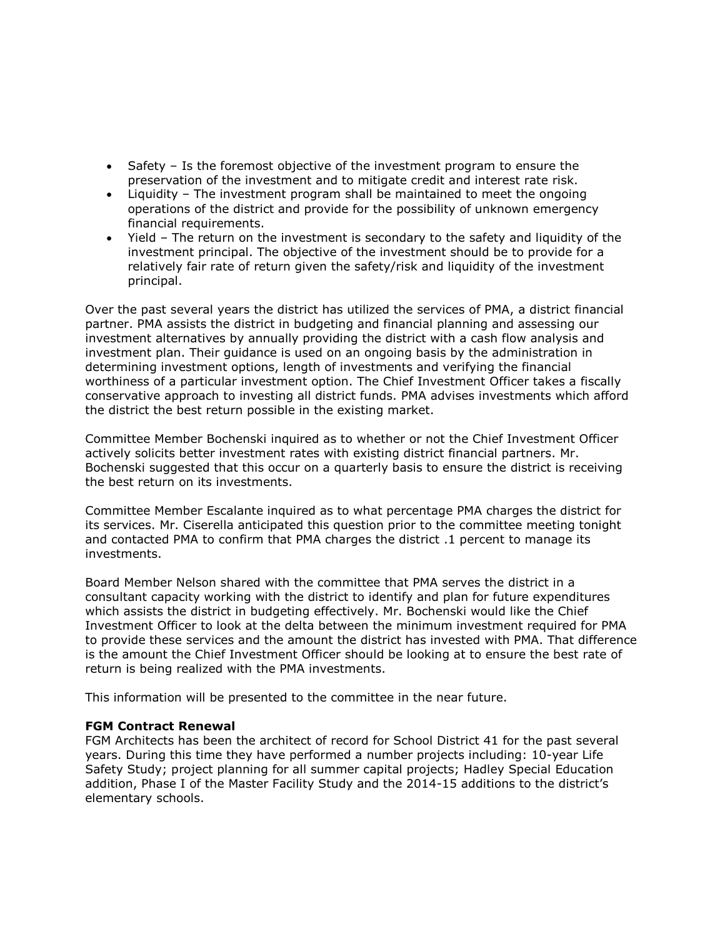- Safety Is the foremost objective of the investment program to ensure the preservation of the investment and to mitigate credit and interest rate risk.
- Liquidity The investment program shall be maintained to meet the ongoing operations of the district and provide for the possibility of unknown emergency financial requirements.
- Yield The return on the investment is secondary to the safety and liquidity of the investment principal. The objective of the investment should be to provide for a relatively fair rate of return given the safety/risk and liquidity of the investment principal.

Over the past several years the district has utilized the services of PMA, a district financial partner. PMA assists the district in budgeting and financial planning and assessing our investment alternatives by annually providing the district with a cash flow analysis and investment plan. Their guidance is used on an ongoing basis by the administration in determining investment options, length of investments and verifying the financial worthiness of a particular investment option. The Chief Investment Officer takes a fiscally conservative approach to investing all district funds. PMA advises investments which afford the district the best return possible in the existing market.

Committee Member Bochenski inquired as to whether or not the Chief Investment Officer actively solicits better investment rates with existing district financial partners. Mr. Bochenski suggested that this occur on a quarterly basis to ensure the district is receiving the best return on its investments.

Committee Member Escalante inquired as to what percentage PMA charges the district for its services. Mr. Ciserella anticipated this question prior to the committee meeting tonight and contacted PMA to confirm that PMA charges the district .1 percent to manage its investments.

Board Member Nelson shared with the committee that PMA serves the district in a consultant capacity working with the district to identify and plan for future expenditures which assists the district in budgeting effectively. Mr. Bochenski would like the Chief Investment Officer to look at the delta between the minimum investment required for PMA to provide these services and the amount the district has invested with PMA. That difference is the amount the Chief Investment Officer should be looking at to ensure the best rate of return is being realized with the PMA investments.

This information will be presented to the committee in the near future.

## **FGM Contract Renewal**

FGM Architects has been the architect of record for School District 41 for the past several years. During this time they have performed a number projects including: 10-year Life Safety Study; project planning for all summer capital projects; Hadley Special Education addition, Phase I of the Master Facility Study and the 2014-15 additions to the district's elementary schools.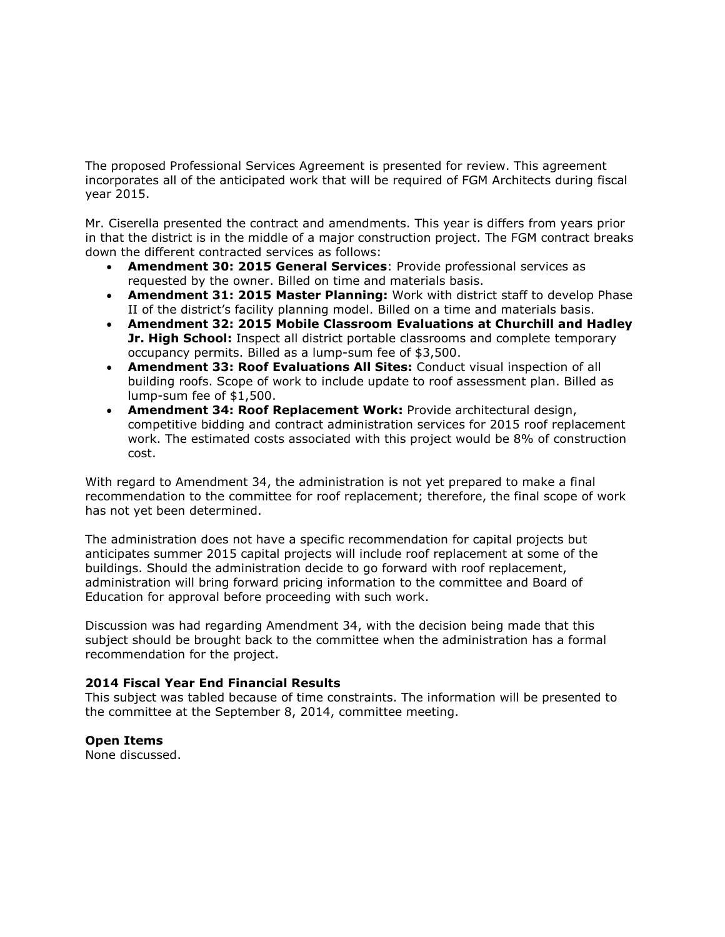The proposed Professional Services Agreement is presented for review. This agreement incorporates all of the anticipated work that will be required of FGM Architects during fiscal year 2015.

Mr. Ciserella presented the contract and amendments. This year is differs from years prior in that the district is in the middle of a major construction project. The FGM contract breaks down the different contracted services as follows:

- **Amendment 30: 2015 General Services**: Provide professional services as requested by the owner. Billed on time and materials basis.
- **Amendment 31: 2015 Master Planning:** Work with district staff to develop Phase II of the district's facility planning model. Billed on a time and materials basis.
- **Amendment 32: 2015 Mobile Classroom Evaluations at Churchill and Hadley Jr. High School:** Inspect all district portable classrooms and complete temporary occupancy permits. Billed as a lump-sum fee of \$3,500.
- **Amendment 33: Roof Evaluations All Sites:** Conduct visual inspection of all building roofs. Scope of work to include update to roof assessment plan. Billed as lump-sum fee of \$1,500.
- **Amendment 34: Roof Replacement Work:** Provide architectural design, competitive bidding and contract administration services for 2015 roof replacement work. The estimated costs associated with this project would be 8% of construction cost.

With regard to Amendment 34, the administration is not yet prepared to make a final recommendation to the committee for roof replacement; therefore, the final scope of work has not yet been determined.

The administration does not have a specific recommendation for capital projects but anticipates summer 2015 capital projects will include roof replacement at some of the buildings. Should the administration decide to go forward with roof replacement, administration will bring forward pricing information to the committee and Board of Education for approval before proceeding with such work.

Discussion was had regarding Amendment 34, with the decision being made that this subject should be brought back to the committee when the administration has a formal recommendation for the project.

## **2014 Fiscal Year End Financial Results**

This subject was tabled because of time constraints. The information will be presented to the committee at the September 8, 2014, committee meeting.

## **Open Items**

None discussed.